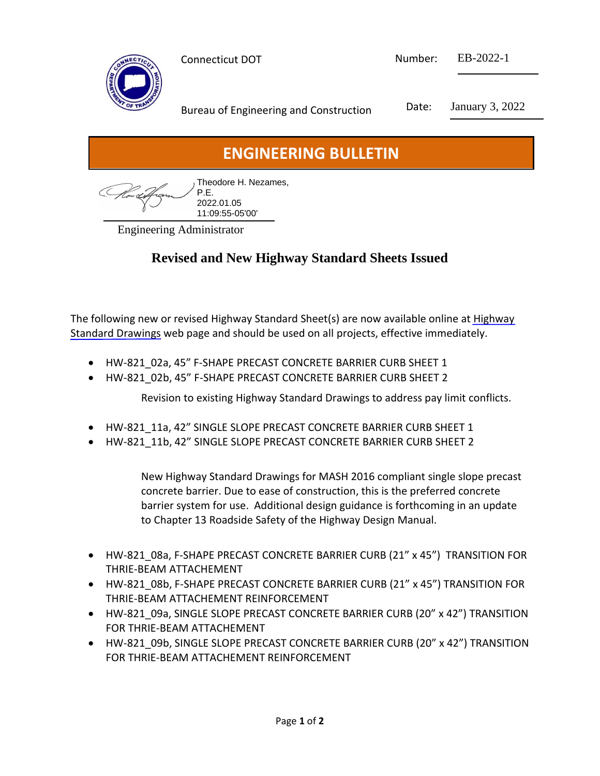

Connecticut DOT Number: EB-2022-1

Bureau of Engineering and Construction Date: January 3, 2022

## **ENGINEERING BULLETIN**

| , Theodore H. Nezames, |
|------------------------|
|                        |
| 2022.01.05             |
| $11:09:55-05'00'$      |

Engineering Administrator

## **Revised and New Highway Standard Sheets Issued**

[The following new or revised Highway Standard Sheet\(s\) are now available online at Highway](https://portal.ct.gov/DOT/Highway-Standard-Drawings/Highway-Standard-Details)  Standard Drawings web page and should be used on all projects, effective immediately.

- HW-821\_02a, 45" F-SHAPE PRECAST CONCRETE BARRIER CURB SHEET 1
- HW-821\_02b, 45" F-SHAPE PRECAST CONCRETE BARRIER CURB SHEET 2

Revision to existing Highway Standard Drawings to address pay limit conflicts.

- HW-821 11a, 42" SINGLE SLOPE PRECAST CONCRETE BARRIER CURB SHEET 1
- HW-821\_11b, 42" SINGLE SLOPE PRECAST CONCRETE BARRIER CURB SHEET 2

New Highway Standard Drawings for MASH 2016 compliant single slope precast concrete barrier. Due to ease of construction, this is the preferred concrete barrier system for use. Additional design guidance is forthcoming in an update to Chapter 13 Roadside Safety of the Highway Design Manual.

- HW-821\_08a, F-SHAPE PRECAST CONCRETE BARRIER CURB (21" x 45") TRANSITION FOR THRIE-BEAM ATTACHEMENT
- HW-821\_08b, F-SHAPE PRECAST CONCRETE BARRIER CURB (21" x 45") TRANSITION FOR THRIE-BEAM ATTACHEMENT REINFORCEMENT
- HW-821\_09a, SINGLE SLOPE PRECAST CONCRETE BARRIER CURB (20" x 42") TRANSITION FOR THRIE-BEAM ATTACHEMENT
- HW-821\_09b, SINGLE SLOPE PRECAST CONCRETE BARRIER CURB (20" x 42") TRANSITION FOR THRIE-BEAM ATTACHEMENT REINFORCEMENT